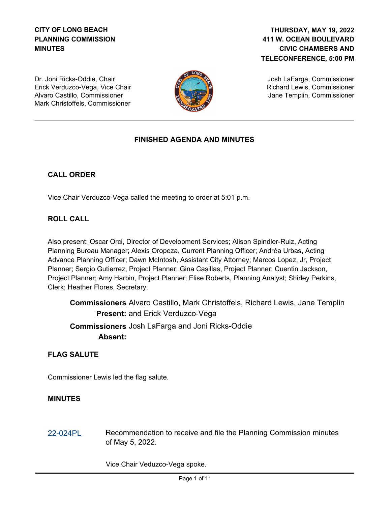### **CITY OF LONG BEACH PLANNING COMMISSION MINUTES**

### **411 W. OCEAN BOULEVARD CIVIC CHAMBERS AND TELECONFERENCE, 5:00 PM THURSDAY, MAY 19, 2022**

Dr. Joni Ricks-Oddie, Chair Erick Verduzco-Vega, Vice Chair Alvaro Castillo, Commissioner Mark Christoffels, Commissioner



Josh LaFarga, Commissioner Richard Lewis, Commissioner Jane Templin, Commissioner

## **FINISHED AGENDA AND MINUTES**

### **CALL ORDER**

Vice Chair Verduzco-Vega called the meeting to order at 5:01 p.m.

#### **ROLL CALL**

Also present: Oscar Orci, Director of Development Services; Alison Spindler-Ruiz, Acting Planning Bureau Manager; Alexis Oropeza, Current Planning Officer; Andréa Urbas, Acting Advance Planning Officer; Dawn McIntosh, Assistant City Attorney; Marcos Lopez, Jr, Project Planner; Sergio Gutierrez, Project Planner; Gina Casillas, Project Planner; Cuentin Jackson, Project Planner; Amy Harbin, Project Planner; Elise Roberts, Planning Analyst; Shirley Perkins, Clerk; Heather Flores, Secretary.

**Commissioners** Alvaro Castillo, Mark Christoffels, Richard Lewis, Jane Templin Present: and Erick Verduzco-Vega  **Commissioners** Josh LaFarga and Joni Ricks-Oddie **Absent:**

# **FLAG SALUTE**

Commissioner Lewis led the flag salute.

#### **MINUTES**

[22-024PL](http://longbeach.legistar.com/gateway.aspx?M=L&ID=239610) Recommendation to receive and file the Planning Commission minutes of May 5, 2022.

Vice Chair Veduzco-Vega spoke.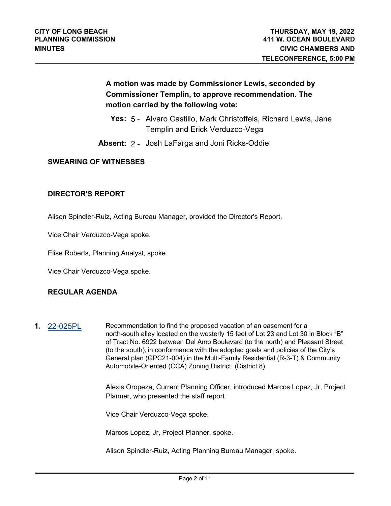# **A motion was made by Commissioner Lewis, seconded by Commissioner Templin, to approve recommendation. The motion carried by the following vote:**

- **Yes:** 5 Alvaro Castillo, Mark Christoffels, Richard Lewis, Jane Templin and Erick Verduzco-Vega
- **Absent:** 2 Josh LaFarga and Joni Ricks-Oddie

#### **SWEARING OF WITNESSES**

#### **DIRECTOR'S REPORT**

Alison Spindler-Ruiz, Acting Bureau Manager, provided the Director's Report.

Vice Chair Verduzco-Vega spoke.

Elise Roberts, Planning Analyst, spoke.

Vice Chair Verduzco-Vega spoke.

#### **REGULAR AGENDA**

**1.** [22-025PL](http://longbeach.legistar.com/gateway.aspx?M=L&ID=239611) Recommendation to find the proposed vacation of an easement for a north-south alley located on the westerly 15 feet of Lot 23 and Lot 30 in Block "B" of Tract No. 6922 between Del Amo Boulevard (to the north) and Pleasant Street (to the south), in conformance with the adopted goals and policies of the City's General plan (GPC21-004) in the Multi-Family Residential (R-3-T) & Community Automobile-Oriented (CCA) Zoning District. (District 8)

> Alexis Oropeza, Current Planning Officer, introduced Marcos Lopez, Jr, Project Planner, who presented the staff report.

Vice Chair Verduzco-Vega spoke.

Marcos Lopez, Jr, Project Planner, spoke.

Alison Spindler-Ruiz, Acting Planning Bureau Manager, spoke.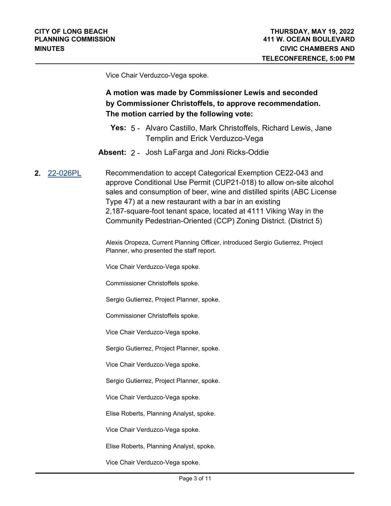Vice Chair Verduzco-Vega spoke.

# **A motion was made by Commissioner Lewis and seconded by Commissioner Christoffels, to approve recommendation. The motion carried by the following vote:**

- **Yes:** 5 Alvaro Castillo, Mark Christoffels, Richard Lewis, Jane Templin and Erick Verduzco-Vega
- **Absent:** 2 Josh LaFarga and Joni Ricks-Oddie
- **2.** [22-026PL](http://longbeach.legistar.com/gateway.aspx?M=L&ID=239612) Recommendation to accept Categorical Exemption CE22-043 and approve Conditional Use Permit (CUP21-018) to allow on-site alcohol sales and consumption of beer, wine and distilled spirits (ABC License Type 47) at a new restaurant with a bar in an existing 2,187-square-foot tenant space, located at 4111 Viking Way in the Community Pedestrian-Oriented (CCP) Zoning District. (District 5)

Alexis Oropeza, Current Planning Officer, introduced Sergio Gutierrez, Project Planner, who presented the staff report.

Vice Chair Verduzco-Vega spoke.

Commissioner Christoffels spoke.

Sergio Gutierrez, Project Planner, spoke.

Commissioner Christoffels spoke.

Vice Chair Verduzco-Vega spoke.

Sergio Gutierrez, Project Planner, spoke.

Vice Chair Verduzco-Vega spoke.

Sergio Gutierrez, Project Planner, spoke.

Vice Chair Verduzco-Vega spoke.

Elise Roberts, Planning Analyst, spoke.

Vice Chair Verduzco-Vega spoke.

Elise Roberts, Planning Analyst, spoke.

Vice Chair Verduzco-Vega spoke.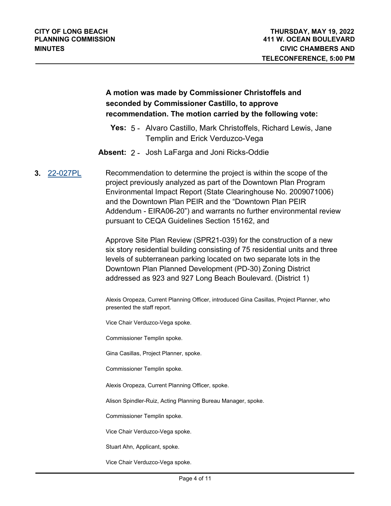## **A motion was made by Commissioner Christoffels and seconded by Commissioner Castillo, to approve recommendation. The motion carried by the following vote:**

- **Yes:** 5 Alvaro Castillo, Mark Christoffels, Richard Lewis, Jane Templin and Erick Verduzco-Vega
- **Absent:** 2 Josh LaFarga and Joni Ricks-Oddie
- **3.** [22-027PL](http://longbeach.legistar.com/gateway.aspx?M=L&ID=239613) Recommendation to determine the project is within the scope of the project previously analyzed as part of the Downtown Plan Program Environmental Impact Report (State Clearinghouse No. 2009071006) and the Downtown Plan PEIR and the "Downtown Plan PEIR Addendum - EIRA06-20") and warrants no further environmental review pursuant to CEQA Guidelines Section 15162, and

Approve Site Plan Review (SPR21-039) for the construction of a new six story residential building consisting of 75 residential units and three levels of subterranean parking located on two separate lots in the Downtown Plan Planned Development (PD-30) Zoning District addressed as 923 and 927 Long Beach Boulevard. (District 1)

Alexis Oropeza, Current Planning Officer, introduced Gina Casillas, Project Planner, who presented the staff report.

Vice Chair Verduzco-Vega spoke.

Commissioner Templin spoke.

Gina Casillas, Project Planner, spoke.

Commissioner Templin spoke.

Alexis Oropeza, Current Planning Officer, spoke.

Alison Spindler-Ruiz, Acting Planning Bureau Manager, spoke.

Commissioner Templin spoke.

Vice Chair Verduzco-Vega spoke.

Stuart Ahn, Applicant, spoke.

Vice Chair Verduzco-Vega spoke.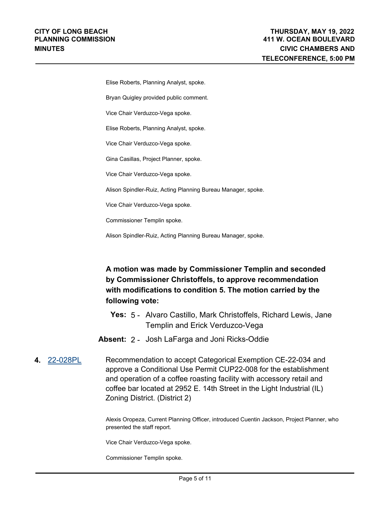Elise Roberts, Planning Analyst, spoke.

Bryan Quigley provided public comment.

Vice Chair Verduzco-Vega spoke.

Elise Roberts, Planning Analyst, spoke.

Vice Chair Verduzco-Vega spoke.

Gina Casillas, Project Planner, spoke.

Vice Chair Verduzco-Vega spoke.

Alison Spindler-Ruiz, Acting Planning Bureau Manager, spoke.

Vice Chair Verduzco-Vega spoke.

Commissioner Templin spoke.

Alison Spindler-Ruiz, Acting Planning Bureau Manager, spoke.

# **A motion was made by Commissioner Templin and seconded by Commissioner Christoffels, to approve recommendation with modifications to condition 5. The motion carried by the following vote:**

- **Yes:** 5 Alvaro Castillo, Mark Christoffels, Richard Lewis, Jane Templin and Erick Verduzco-Vega
- **Absent:** 2 Josh LaFarga and Joni Ricks-Oddie
- **4.** [22-028PL](http://longbeach.legistar.com/gateway.aspx?M=L&ID=239614) Recommendation to accept Categorical Exemption CE-22-034 and approve a Conditional Use Permit CUP22-008 for the establishment and operation of a coffee roasting facility with accessory retail and coffee bar located at 2952 E. 14th Street in the Light Industrial (IL) Zoning District. (District 2)

Alexis Oropeza, Current Planning Officer, introduced Cuentin Jackson, Project Planner, who presented the staff report.

Vice Chair Verduzco-Vega spoke.

Commissioner Templin spoke.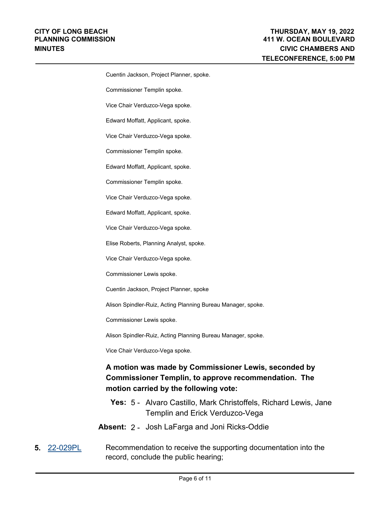Cuentin Jackson, Project Planner, spoke. Commissioner Templin spoke. Vice Chair Verduzco-Vega spoke. Edward Moffatt, Applicant, spoke. Vice Chair Verduzco-Vega spoke. Commissioner Templin spoke. Edward Moffatt, Applicant, spoke. Commissioner Templin spoke. Vice Chair Verduzco-Vega spoke. Edward Moffatt, Applicant, spoke. Vice Chair Verduzco-Vega spoke. Elise Roberts, Planning Analyst, spoke. Vice Chair Verduzco-Vega spoke. Commissioner Lewis spoke. Cuentin Jackson, Project Planner, spoke Alison Spindler-Ruiz, Acting Planning Bureau Manager, spoke. Commissioner Lewis spoke. Alison Spindler-Ruiz, Acting Planning Bureau Manager, spoke. Vice Chair Verduzco-Vega spoke.

# **A motion was made by Commissioner Lewis, seconded by Commissioner Templin, to approve recommendation. The motion carried by the following vote:**

- **Yes:** 5 Alvaro Castillo, Mark Christoffels, Richard Lewis, Jane Templin and Erick Verduzco-Vega
- **Absent:** 2 Josh LaFarga and Joni Ricks-Oddie
- **5.** [22-029PL](http://longbeach.legistar.com/gateway.aspx?M=L&ID=239615) Recommendation to receive the supporting documentation into the record, conclude the public hearing;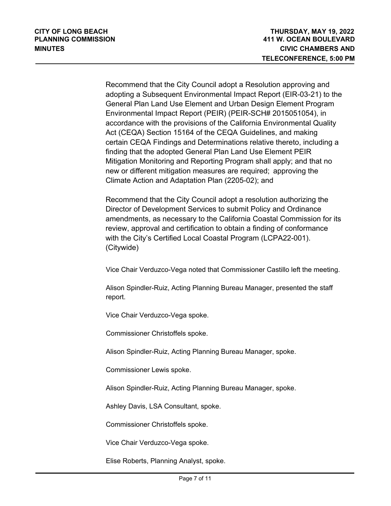Recommend that the City Council adopt a Resolution approving and adopting a Subsequent Environmental Impact Report (EIR-03-21) to the General Plan Land Use Element and Urban Design Element Program Environmental Impact Report (PEIR) (PEIR-SCH# 2015051054), in accordance with the provisions of the California Environmental Quality Act (CEQA) Section 15164 of the CEQA Guidelines, and making certain CEQA Findings and Determinations relative thereto, including a finding that the adopted General Plan Land Use Element PEIR Mitigation Monitoring and Reporting Program shall apply; and that no new or different mitigation measures are required; approving the Climate Action and Adaptation Plan (2205-02); and

Recommend that the City Council adopt a resolution authorizing the Director of Development Services to submit Policy and Ordinance amendments, as necessary to the California Coastal Commission for its review, approval and certification to obtain a finding of conformance with the City's Certified Local Coastal Program (LCPA22-001). (Citywide)

Vice Chair Verduzco-Vega noted that Commissioner Castillo left the meeting.

Alison Spindler-Ruiz, Acting Planning Bureau Manager, presented the staff report.

Vice Chair Verduzco-Vega spoke.

Commissioner Christoffels spoke.

Alison Spindler-Ruiz, Acting Planning Bureau Manager, spoke.

Commissioner Lewis spoke.

Alison Spindler-Ruiz, Acting Planning Bureau Manager, spoke.

Ashley Davis, LSA Consultant, spoke.

Commissioner Christoffels spoke.

Vice Chair Verduzco-Vega spoke.

Elise Roberts, Planning Analyst, spoke.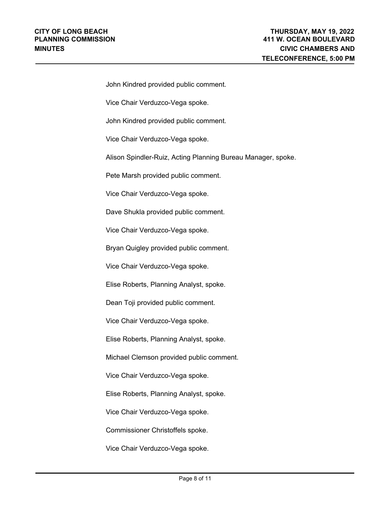| John Kindred provided public comment.                        |
|--------------------------------------------------------------|
| Vice Chair Verduzco-Vega spoke.                              |
| John Kindred provided public comment.                        |
| Vice Chair Verduzco-Vega spoke.                              |
| Alison Spindler-Ruiz, Acting Planning Bureau Manager, spoke. |
| Pete Marsh provided public comment.                          |
| Vice Chair Verduzco-Vega spoke.                              |
| Dave Shukla provided public comment.                         |
| Vice Chair Verduzco-Vega spoke.                              |
| Bryan Quigley provided public comment.                       |
| Vice Chair Verduzco-Vega spoke.                              |
| Elise Roberts, Planning Analyst, spoke.                      |
| Dean Toji provided public comment.                           |
| Vice Chair Verduzco-Vega spoke.                              |
| Elise Roberts, Planning Analyst, spoke.                      |
| Michael Clemson provided public comment.                     |
| Vice Chair Verduzco-Vega spoke.                              |
| Elise Roberts, Planning Analyst, spoke.                      |
| Vice Chair Verduzco-Vega spoke.                              |
| Commissioner Christoffels spoke.                             |

Vice Chair Verduzco-Vega spoke.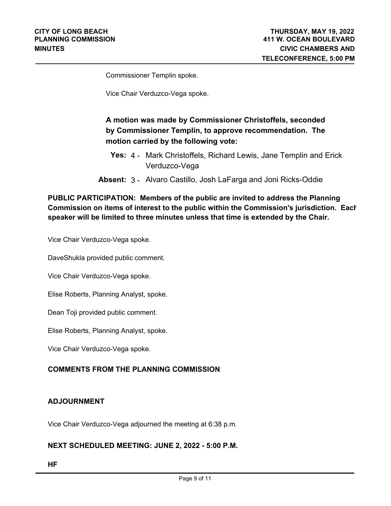Commissioner Templin spoke.

Vice Chair Verduzco-Vega spoke.

# **A motion was made by Commissioner Christoffels, seconded by Commissioner Templin, to approve recommendation. The motion carried by the following vote:**

- **Yes:** 4 Mark Christoffels, Richard Lewis, Jane Templin and Erick Verduzco-Vega
- **Absent:** 3 Alvaro Castillo, Josh LaFarga and Joni Ricks-Oddie

### **PUBLIC PARTICIPATION: Members of the public are invited to address the Planning Commission on items of interest to the public within the Commission's jurisdiction. Each speaker will be limited to three minutes unless that time is extended by the Chair.**

Vice Chair Verduzco-Vega spoke.

DaveShukla provided public comment.

Vice Chair Verduzco-Vega spoke.

Elise Roberts, Planning Analyst, spoke.

Dean Toji provided public comment.

Elise Roberts, Planning Analyst, spoke.

Vice Chair Verduzco-Vega spoke.

#### **COMMENTS FROM THE PLANNING COMMISSION**

#### **ADJOURNMENT**

Vice Chair Verduzco-Vega adjourned the meeting at 6:38 p.m.

#### **NEXT SCHEDULED MEETING: JUNE 2, 2022 - 5:00 P.M.**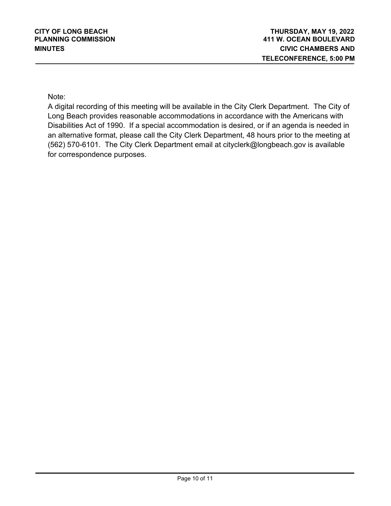Note:

A digital recording of this meeting will be available in the City Clerk Department. The City of Long Beach provides reasonable accommodations in accordance with the Americans with Disabilities Act of 1990. If a special accommodation is desired, or if an agenda is needed in an alternative format, please call the City Clerk Department, 48 hours prior to the meeting at (562) 570-6101. The City Clerk Department email at cityclerk@longbeach.gov is available for correspondence purposes.